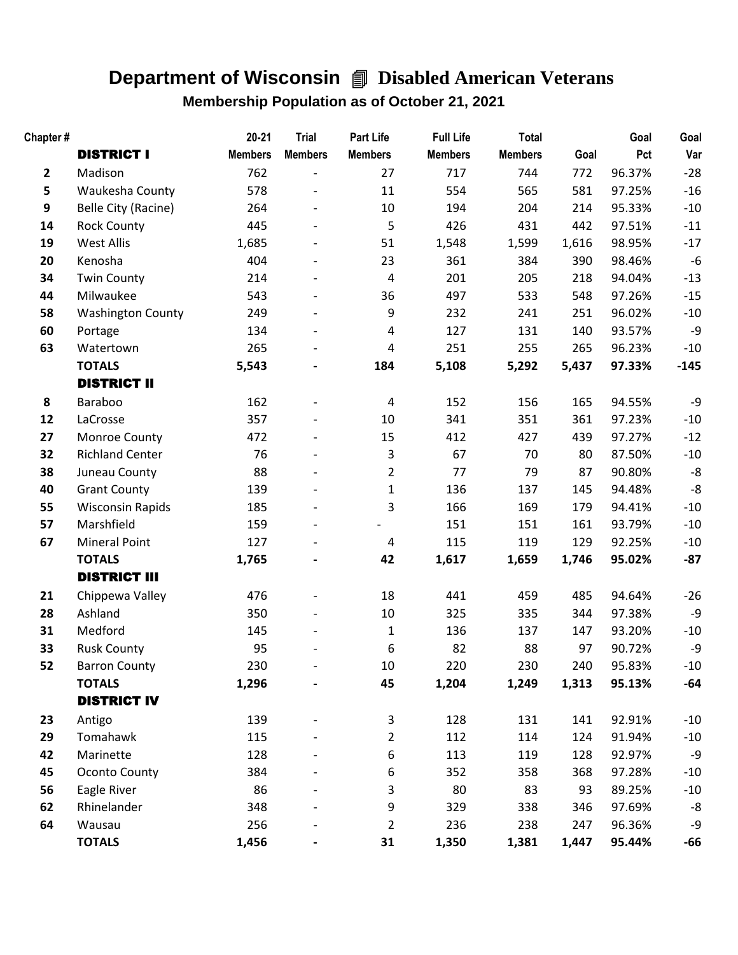## **Department of Wisconsin** 4 **Disabled American Veterans**

 **Membership Population as of October 21, 2021**

| Chapter#         |                          | $20 - 21$      | <b>Trial</b>   | <b>Part Life</b>        | <b>Full Life</b> | <b>Total</b>   |       | Goal   | Goal   |
|------------------|--------------------------|----------------|----------------|-------------------------|------------------|----------------|-------|--------|--------|
|                  | <b>DISTRICT I</b>        | <b>Members</b> | <b>Members</b> | <b>Members</b>          | <b>Members</b>   | <b>Members</b> | Goal  | Pct    | Var    |
| $\mathbf{2}$     | Madison                  | 762            |                | 27                      | 717              | 744            | 772   | 96.37% | $-28$  |
| 5                | Waukesha County          | 578            |                | 11                      | 554              | 565            | 581   | 97.25% | $-16$  |
| $\boldsymbol{9}$ | Belle City (Racine)      | 264            |                | 10                      | 194              | 204            | 214   | 95.33% | $-10$  |
| 14               | <b>Rock County</b>       | 445            |                | 5                       | 426              | 431            | 442   | 97.51% | $-11$  |
| 19               | <b>West Allis</b>        | 1,685          |                | 51                      | 1,548            | 1,599          | 1,616 | 98.95% | $-17$  |
| 20               | Kenosha                  | 404            |                | 23                      | 361              | 384            | 390   | 98.46% | -6     |
| 34               | <b>Twin County</b>       | 214            |                | $\overline{\mathbf{4}}$ | 201              | 205            | 218   | 94.04% | $-13$  |
| 44               | Milwaukee                | 543            |                | 36                      | 497              | 533            | 548   | 97.26% | $-15$  |
| 58               | <b>Washington County</b> | 249            |                | 9                       | 232              | 241            | 251   | 96.02% | $-10$  |
| 60               | Portage                  | 134            |                | $\overline{\mathbf{4}}$ | 127              | 131            | 140   | 93.57% | -9     |
| 63               | Watertown                | 265            |                | 4                       | 251              | 255            | 265   | 96.23% | $-10$  |
|                  | <b>TOTALS</b>            | 5,543          |                | 184                     | 5,108            | 5,292          | 5,437 | 97.33% | $-145$ |
|                  | <b>DISTRICT II</b>       |                |                |                         |                  |                |       |        |        |
| 8                | Baraboo                  | 162            |                | $\overline{\mathbf{4}}$ | 152              | 156            | 165   | 94.55% | -9     |
| 12               | LaCrosse                 | 357            |                | 10                      | 341              | 351            | 361   | 97.23% | $-10$  |
| 27               | Monroe County            | 472            |                | 15                      | 412              | 427            | 439   | 97.27% | $-12$  |
| 32               | <b>Richland Center</b>   | 76             |                | $\mathsf{3}$            | 67               | 70             | 80    | 87.50% | $-10$  |
| 38               | Juneau County            | 88             |                | $\overline{2}$          | 77               | 79             | 87    | 90.80% | -8     |
| 40               | <b>Grant County</b>      | 139            |                | $\mathbf 1$             | 136              | 137            | 145   | 94.48% | -8     |
| 55               | <b>Wisconsin Rapids</b>  | 185            |                | 3                       | 166              | 169            | 179   | 94.41% | $-10$  |
| 57               | Marshfield               | 159            |                |                         | 151              | 151            | 161   | 93.79% | $-10$  |
| 67               | <b>Mineral Point</b>     | 127            |                | 4                       | 115              | 119            | 129   | 92.25% | $-10$  |
|                  | <b>TOTALS</b>            | 1,765          |                | 42                      | 1,617            | 1,659          | 1,746 | 95.02% | $-87$  |
|                  | <b>DISTRICT III</b>      |                |                |                         |                  |                |       |        |        |
| 21               | Chippewa Valley          | 476            |                | 18                      | 441              | 459            | 485   | 94.64% | $-26$  |
| 28               | Ashland                  | 350            |                | 10                      | 325              | 335            | 344   | 97.38% | -9     |
| 31               | Medford                  | 145            |                | $\mathbf{1}$            | 136              | 137            | 147   | 93.20% | $-10$  |
| 33               | <b>Rusk County</b>       | 95             |                | 6                       | 82               | 88             | 97    | 90.72% | -9     |
| 52               | <b>Barron County</b>     | 230            |                | 10                      | 220              | 230            | 240   | 95.83% | $-10$  |
|                  | <b>TOTALS</b>            | 1,296          |                | 45                      | 1,204            | 1,249          | 1,313 | 95.13% | -64    |
|                  | <b>DISTRICT IV</b>       |                |                |                         |                  |                |       |        |        |
| 23               | Antigo                   | 139            |                | $\mathsf{3}$            | 128              | 131            | 141   | 92.91% | $-10$  |
| 29               | Tomahawk                 | 115            |                | $\overline{2}$          | 112              | 114            | 124   | 91.94% | $-10$  |
| 42               | Marinette                | 128            |                | 6                       | 113              | 119            | 128   | 92.97% | -9     |
| 45               | Oconto County            | 384            |                | 6                       | 352              | 358            | 368   | 97.28% | $-10$  |
| 56               | Eagle River              | 86             |                | 3                       | 80               | 83             | 93    | 89.25% | $-10$  |
| 62               | Rhinelander              | 348            |                | 9                       | 329              | 338            | 346   | 97.69% | -8     |
| 64               | Wausau                   | 256            |                | $\overline{2}$          | 236              | 238            | 247   | 96.36% | -9     |
|                  | <b>TOTALS</b>            | 1,456          |                | 31                      | 1,350            | 1,381          | 1,447 | 95.44% | -66    |